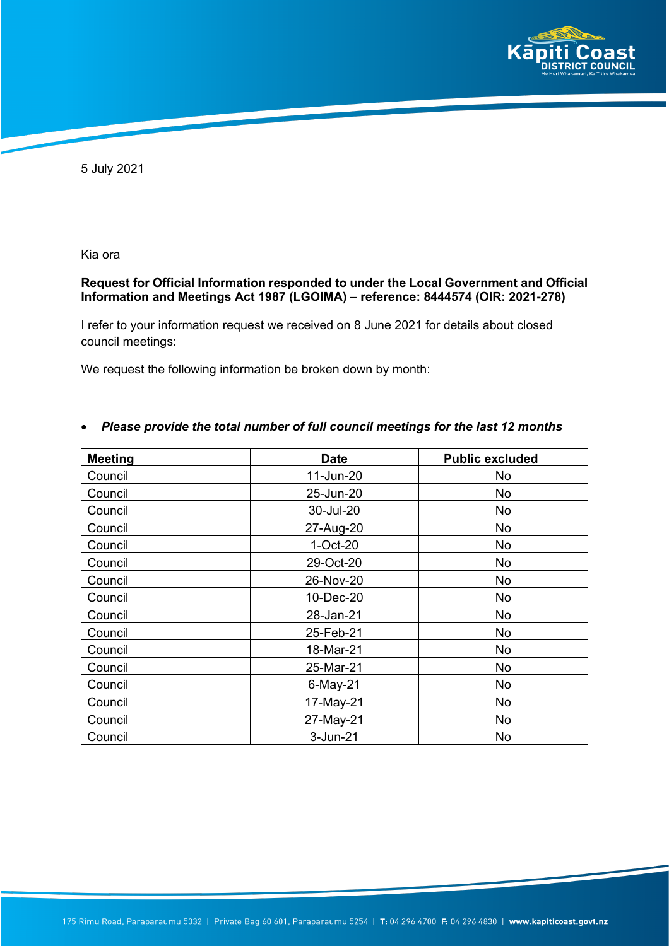

5 July 2021

Kia ora

## **Request for Official Information responded to under the Local Government and Official Information and Meetings Act 1987 (LGOIMA) – reference: 8444574 (OIR: 2021-278)**

I refer to your information request we received on 8 June 2021 for details about closed council meetings:

We request the following information be broken down by month:

| <b>Meeting</b> | <b>Date</b> | <b>Public excluded</b> |
|----------------|-------------|------------------------|
| Council        | 11-Jun-20   | No                     |
| Council        | 25-Jun-20   | No                     |
| Council        | 30-Jul-20   | No                     |
| Council        | 27-Aug-20   | No                     |
| Council        | 1-Oct-20    | No                     |
| Council        | 29-Oct-20   | No                     |
| Council        | 26-Nov-20   | <b>No</b>              |
| Council        | 10-Dec-20   | No                     |
| Council        | 28-Jan-21   | No                     |
| Council        | 25-Feb-21   | No                     |
| Council        | 18-Mar-21   | No                     |
| Council        | 25-Mar-21   | No                     |
| Council        | 6-May-21    | No                     |
| Council        | 17-May-21   | No                     |
| Council        | 27-May-21   | No                     |
| Council        | 3-Jun-21    | No                     |

## • *Please provide the total number of full council meetings for the last 12 months*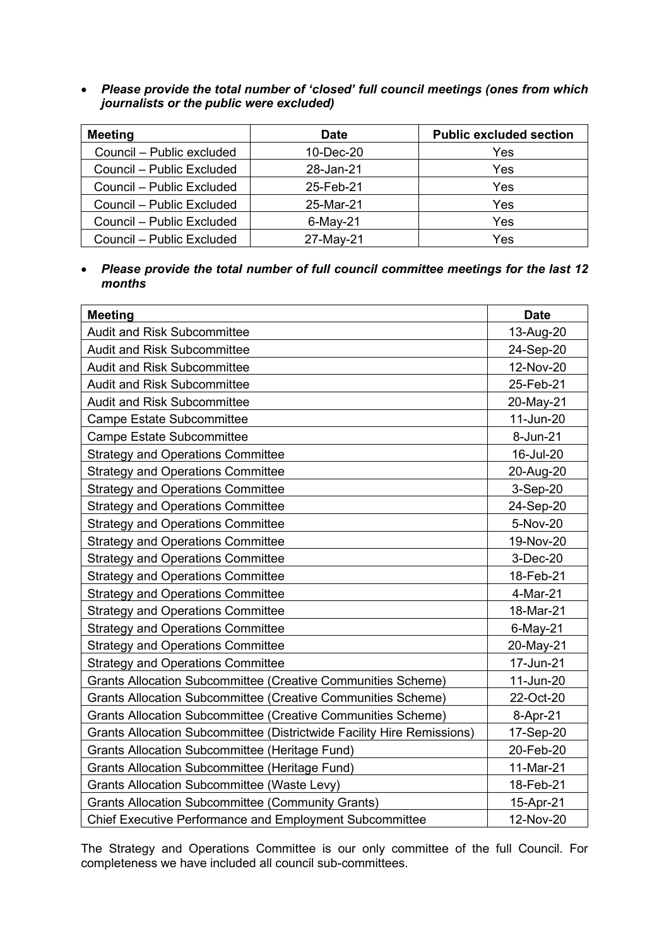• *Please provide the total number of 'closed' full council meetings (ones from which journalists or the public were excluded)*

| <b>Meeting</b>            | <b>Date</b> | <b>Public excluded section</b> |  |
|---------------------------|-------------|--------------------------------|--|
| Council - Public excluded | 10-Dec-20   | Yes                            |  |
| Council – Public Excluded | 28-Jan-21   | Yes                            |  |
| Council - Public Excluded | 25-Feb-21   | Yes                            |  |
| Council – Public Excluded | 25-Mar-21   | Yes                            |  |
| Council – Public Excluded | $6$ -May-21 | Yes                            |  |
| Council – Public Excluded | 27-May-21   | Yes                            |  |

• *Please provide the total number of full council committee meetings for the last 12 months*

| <b>Meeting</b>                                                         | <b>Date</b> |
|------------------------------------------------------------------------|-------------|
| <b>Audit and Risk Subcommittee</b>                                     | 13-Aug-20   |
| <b>Audit and Risk Subcommittee</b>                                     | 24-Sep-20   |
| <b>Audit and Risk Subcommittee</b>                                     | 12-Nov-20   |
| <b>Audit and Risk Subcommittee</b>                                     | 25-Feb-21   |
| <b>Audit and Risk Subcommittee</b>                                     | 20-May-21   |
| <b>Campe Estate Subcommittee</b>                                       | 11-Jun-20   |
| <b>Campe Estate Subcommittee</b>                                       | 8-Jun-21    |
| <b>Strategy and Operations Committee</b>                               | 16-Jul-20   |
| <b>Strategy and Operations Committee</b>                               | 20-Aug-20   |
| <b>Strategy and Operations Committee</b>                               | 3-Sep-20    |
| <b>Strategy and Operations Committee</b>                               | 24-Sep-20   |
| <b>Strategy and Operations Committee</b>                               | 5-Nov-20    |
| <b>Strategy and Operations Committee</b>                               | 19-Nov-20   |
| <b>Strategy and Operations Committee</b>                               | 3-Dec-20    |
| <b>Strategy and Operations Committee</b>                               | 18-Feb-21   |
| <b>Strategy and Operations Committee</b>                               | 4-Mar-21    |
| <b>Strategy and Operations Committee</b>                               | 18-Mar-21   |
| <b>Strategy and Operations Committee</b>                               | 6-May-21    |
| <b>Strategy and Operations Committee</b>                               | 20-May-21   |
| <b>Strategy and Operations Committee</b>                               | 17-Jun-21   |
| Grants Allocation Subcommittee (Creative Communities Scheme)           | 11-Jun-20   |
| <b>Grants Allocation Subcommittee (Creative Communities Scheme)</b>    | 22-Oct-20   |
| Grants Allocation Subcommittee (Creative Communities Scheme)           | 8-Apr-21    |
| Grants Allocation Subcommittee (Districtwide Facility Hire Remissions) | 17-Sep-20   |
| <b>Grants Allocation Subcommittee (Heritage Fund)</b>                  | 20-Feb-20   |
| <b>Grants Allocation Subcommittee (Heritage Fund)</b>                  | 11-Mar-21   |
| <b>Grants Allocation Subcommittee (Waste Levy)</b>                     | 18-Feb-21   |
| <b>Grants Allocation Subcommittee (Community Grants)</b>               | 15-Apr-21   |
| <b>Chief Executive Performance and Employment Subcommittee</b>         | 12-Nov-20   |

The Strategy and Operations Committee is our only committee of the full Council. For completeness we have included all council sub-committees.